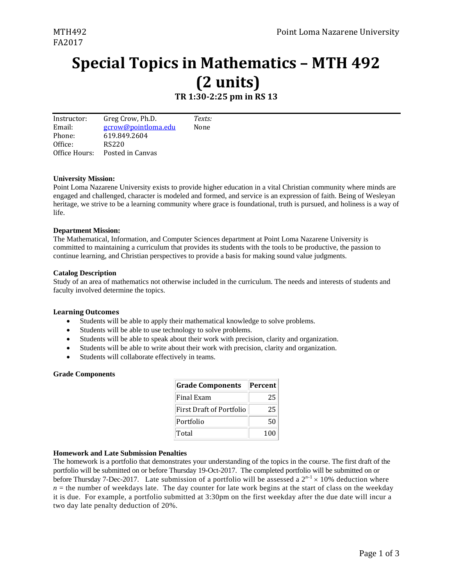# **Special Topics in Mathematics – MTH 492 (2 units)**

# **TR 1:30‐2:25 pm in RS 13**

Instructor: Email: Phone: Office: Office Hours: Posted in Canvas Greg Crow, Ph.D. gcrow@pointloma.edu 619.849.2604 RS220 *Texts:* None 

# **University Mission:**

Point Loma Nazarene University exists to provide higher education in a vital Christian community where minds are engaged and challenged, character is modeled and formed, and service is an expression of faith. Being of Wesleyan heritage, we strive to be a learning community where grace is foundational, truth is pursued, and holiness is a way of life.

# **Department Mission:**

The Mathematical, Information, and Computer Sciences department at Point Loma Nazarene University is committed to maintaining a curriculum that provides its students with the tools to be productive, the passion to continue learning, and Christian perspectives to provide a basis for making sound value judgments.

# **Catalog Description**

Study of an area of mathematics not otherwise included in the curriculum. The needs and interests of students and faculty involved determine the topics.

# **Learning Outcomes**

- Students will be able to apply their mathematical knowledge to solve problems.
- Students will be able to use technology to solve problems.
- Students will be able to speak about their work with precision, clarity and organization.
- Students will be able to write about their work with precision, clarity and organization.
- Students will collaborate effectively in teams.

# **Grade Components**

| <b>Grade Components</b>         | Percent |  |  |
|---------------------------------|---------|--|--|
| Final Exam                      | 25      |  |  |
| <b>First Draft of Portfolio</b> | 25      |  |  |
| Portfolio                       | 50      |  |  |
| Total                           | 100     |  |  |

# **Homework and Late Submission Penalties**

The homework is a portfolio that demonstrates your understanding of the topics in the course. The first draft of the portfolio will be submitted on or before Thursday 19-Oct-2017. The completed portfolio will be submitted on or before Thursday 7-Dec-2017. Late submission of a portfolio will be assessed a  $2^{n-1} \times 10^{16}$  deduction where  $n =$  the number of weekdays late. The day counter for late work begins at the start of class on the weekday it is due. For example, a portfolio submitted at 3:30pm on the first weekday after the due date will incur a two day late penalty deduction of 20%.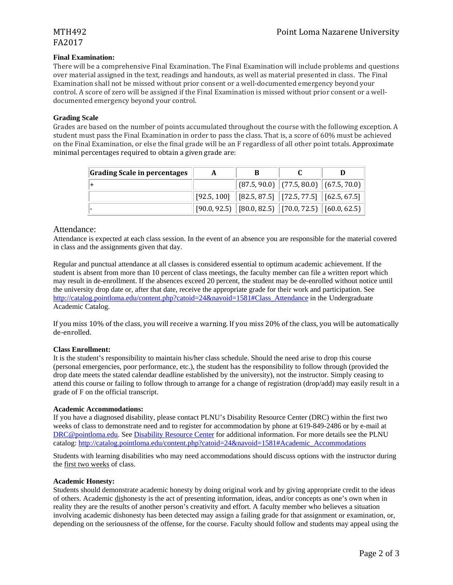# FA2017

# **Final Examination:**

There will be a comprehensive Final Examination. The Final Examination will include problems and questions over material assigned in the text, readings and handouts, as well as material presented in class. The Final Examination shall not be missed without prior consent or a well-documented emergency beyond your control. A score of zero will be assigned if the Final Examination is missed without prior consent or a welldocumented emergency beyond your control.

# **Grading Scale**

Grades are based on the number of points accumulated throughout the course with the following exception. A student must pass the Final Examination in order to pass the class. That is, a score of 60% must be achieved on the Final Examination, or else the final grade will be an F regardless of all other point totals. Approximate minimal percentages required to obtain a given grade are:

| Grading Scale in percentages | A |                                                                                |  |
|------------------------------|---|--------------------------------------------------------------------------------|--|
|                              |   | $\ $ (87.5, 90.0) $\ $ (77.5, 80.0) $\ $ (67.5, 70.0)                          |  |
|                              |   | $\mid$ [92.5, 100] $\mid$ [82.5, 87.5] $\mid$ [72.5, 77.5] $\mid$ [62.5, 67.5] |  |
|                              |   | $[90.0, 92.5]$ [80.0, 82.5] [70.0, 72.5] [60.0, 62.5]                          |  |

# Attendance:

Attendance is expected at each class session. In the event of an absence you are responsible for the material covered in class and the assignments given that day.

Regular and punctual attendance at all classes is considered essential to optimum academic achievement. If the student is absent from more than 10 percent of class meetings, the faculty member can file a written report which may result in de-enrollment. If the absences exceed 20 percent, the student may be de-enrolled without notice until the university drop date or, after that date, receive the appropriate grade for their work and participation. See http://catalog.pointloma.edu/content.php?catoid=24&navoid=1581#Class\_Attendance in the Undergraduate Academic Catalog.

If you miss  $10\%$  of the class, you will receive a warning. If you miss  $20\%$  of the class, you will be automatically de‐enrolled. 

# **Class Enrollment:**

It is the student's responsibility to maintain his/her class schedule. Should the need arise to drop this course (personal emergencies, poor performance, etc.), the student has the responsibility to follow through (provided the drop date meets the stated calendar deadline established by the university), not the instructor. Simply ceasing to attend this course or failing to follow through to arrange for a change of registration (drop/add) may easily result in a grade of F on the official transcript.

# **Academic Accommodations:**

If you have a diagnosed disability, please contact PLNU's Disability Resource Center (DRC) within the first two weeks of class to demonstrate need and to register for accommodation by phone at 619-849-2486 or by e-mail at DRC@pointloma.edu. See Disability Resource Center for additional information. For more details see the PLNU catalog: http://catalog.pointloma.edu/content.php?catoid=24&navoid=1581#Academic\_Accommodations

Students with learning disabilities who may need accommodations should discuss options with the instructor during the first two weeks of class.

# **Academic Honesty:**

Students should demonstrate academic honesty by doing original work and by giving appropriate credit to the ideas of others. Academic dishonesty is the act of presenting information, ideas, and/or concepts as one's own when in reality they are the results of another person's creativity and effort. A faculty member who believes a situation involving academic dishonesty has been detected may assign a failing grade for that assignment or examination, or, depending on the seriousness of the offense, for the course. Faculty should follow and students may appeal using the